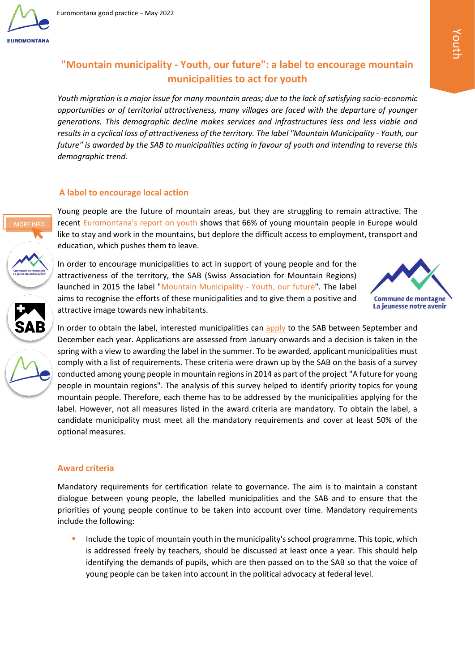

**MORE INF** 

# **"Mountain municipality - Youth, our future": a label to encourage mountain municipalities to act for youth**

*Youth migration is a major issue for many mountain areas; due to the lack of satisfying socio-economic opportunities or of territorial attractiveness, many villages are faced with the departure of younger generations. This demographic decline makes services and infrastructures less and less viable and results in a cyclical loss of attractiveness of the territory. The label "Mountain Municipality - Youth, our future" is awarded by the SAB to municipalities acting in favour of youth and intending to reverse this demographic trend.*

# **A label to encourage local action**

Young people are the future of mountain areas, but they are struggling to remain attractive. The recent Euromontana's [report on youth](https://www.euromontana.org/en/being-young-in-a-mountain-area-euromontanas-report-is-out/) shows that 66% of young mountain people in Europe would like to stay and work in the mountains, but deplore the difficult access to employment, transport and [e](https://www.jugend-im-berggebiet.ch/?lang=fr)ducation, which pushes them to leave.

In order to encourage municipalities to act in support of young people and for the attractiveness of the territory, the SAB (Swiss Association for Mountain Regions) launched in 2015 the label ["Mountain Municipality -](https://www.jugend-im-berggebiet.ch/?lang=fr) Youth, our future". The label [a](http://www.sab.ch/fr/home.html)ims to recognise the efforts of these municipalities and to give them a positive and attractive image towards new inhabitants.



In order to obtain the label, interested municipalities can [apply](https://www.jugend-im-berggebiet.ch/jugendfreundliche-bergdoerfer-2__trashed/bewerbung/?lang=fr) to the SAB between September and December each year. Applications are assessed from January onwards and a decision is taken in the spring with a view to awarding the label in the summer. To be awarded, applicant municipalities must comply with a list of requirements. These criteria were drawn up by the SAB on the basis of a survey conducted among young people in mountain regions in 2014 as part of the project "A future for young people in mountain regions". The analysis of this survey helped to identify priority topics for young mountain people. Therefore, each theme has to be addressed by the municipalities applying for the label. However, not all measures listed in the award criteria are mandatory. To obtain the label, a candidate municipality must meet all the mandatory requirements and cover at least 50% of the optional measures.

# **Award criteria**

Mandatory requirements for certification relate to governance. The aim is to maintain a constant dialogue between young people, the labelled municipalities and the SAB and to ensure that the priorities of young people continue to be taken into account over time. Mandatory requirements include the following:

Include the topic of mountain youth in the municipality's school programme. This topic, which is addressed freely by teachers, should be discussed at least once a year. This should help identifying the demands of pupils, which are then passed on to the SAB so that the voice of young people can be taken into account in the political advocacy at federal level.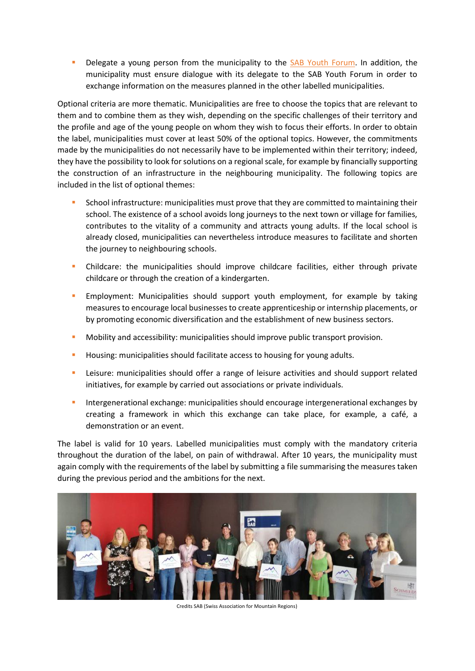Delegate a young person from the municipality to the [SAB Youth Forum.](https://www.jugend-im-berggebiet.ch/le-forum-des-jeunes-du-sab/?lang=fr) In addition, the municipality must ensure dialogue with its delegate to the SAB Youth Forum in order to exchange information on the measures planned in the other labelled municipalities.

Optional criteria are more thematic. Municipalities are free to choose the topics that are relevant to them and to combine them as they wish, depending on the specific challenges of their territory and the profile and age of the young people on whom they wish to focus their efforts. In order to obtain the label, municipalities must cover at least 50% of the optional topics. However, the commitments made by the municipalities do not necessarily have to be implemented within their territory; indeed, they have the possibility to look for solutions on a regional scale, for example by financially supporting the construction of an infrastructure in the neighbouring municipality. The following topics are included in the list of optional themes:

- School infrastructure: municipalities must prove that they are committed to maintaining their school. The existence of a school avoids long journeys to the next town or village for families, contributes to the vitality of a community and attracts young adults. If the local school is already closed, municipalities can nevertheless introduce measures to facilitate and shorten the journey to neighbouring schools.
- Childcare: the municipalities should improve childcare facilities, either through private childcare or through the creation of a kindergarten.
- **Employment: Municipalities should support youth employment, for example by taking** measures to encourage local businesses to create apprenticeship or internship placements, or by promoting economic diversification and the establishment of new business sectors.
- **■** Mobility and accessibility: municipalities should improve public transport provision.
- **•** Housing: municipalities should facilitate access to housing for young adults.
- **•** Leisure: municipalities should offer a range of leisure activities and should support related initiatives, for example by carried out associations or private individuals.
- Intergenerational exchange: municipalities should encourage intergenerational exchanges by creating a framework in which this exchange can take place, for example, a café, a demonstration or an event.

The label is valid for 10 years. Labelled municipalities must comply with the mandatory criteria throughout the duration of the label, on pain of withdrawal. After 10 years, the municipality must again comply with the requirements of the label by submitting a file summarising the measures taken during the previous period and the ambitions for the next.



Credits SAB (Swiss Association for Mountain Regions)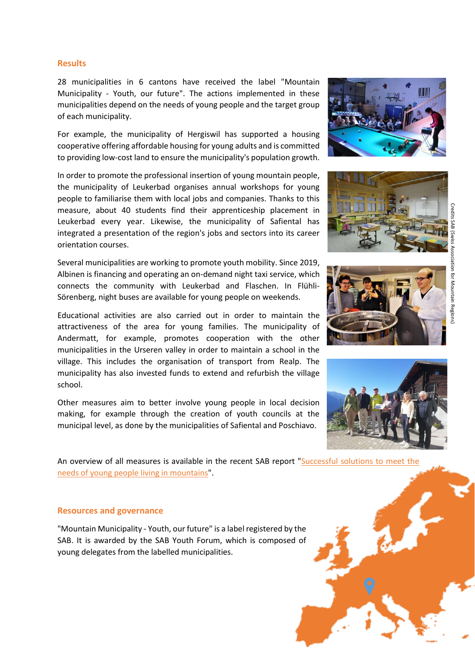## **Results**

28 municipalities in 6 cantons have received the label "Mountain Municipality - Youth, our future". The actions implemented in these municipalities depend on the needs of young people and the target group of each municipality.

For example, the municipality of Hergiswil has supported a housing cooperative offering affordable housing for young adults and is committed to providing low-cost land to ensure the municipality's population growth.

In order to promote the professional insertion of young mountain people, the municipality of Leukerbad organises annual workshops for young people to familiarise them with local jobs and companies. Thanks to this measure, about 40 students find their apprenticeship placement in Leukerbad every year. Likewise, the municipality of Safiental has integrated a presentation of the region's jobs and sectors into its career orientation courses.

Several municipalities are working to promote youth mobility. Since 2019, Albinen is financing and operating an on-demand night taxi service, which connects the community with Leukerbad and Flaschen. In Flühli-Sörenberg, night buses are available for young people on weekends.

Educational activities are also carried out in order to maintain the attractiveness of the area for young families. The municipality of Andermatt, for example, promotes cooperation with the other municipalities in the Urseren valley in order to maintain a school in the village. This includes the organisation of transport from Realp. The municipality has also invested funds to extend and refurbish the village school.

Other measures aim to better involve young people in local decision making, for example through the creation of youth councils at the municipal level, as done by the municipalities of Safiental and Poschiavo.

An overview of all measures is available in the recent SAB report "Successful solutions to meet the [needs of young people living in mountains"](http://www.sab.ch/fileadmin/user_upload/customers/sab/Dokumente/Publikationen_SAB/Pub_abJuli2020/ST251_des_recettes_a_succes_pour_repondre_aux_besoins_des_jeunes_vivant_en_montagne.pdf).

#### **Resources and governance**

"Mountain Municipality - Youth, our future" is a label registered by the SAB. It is awarded by the SAB Youth Forum, which is composed of young delegates from the labelled municipalities.